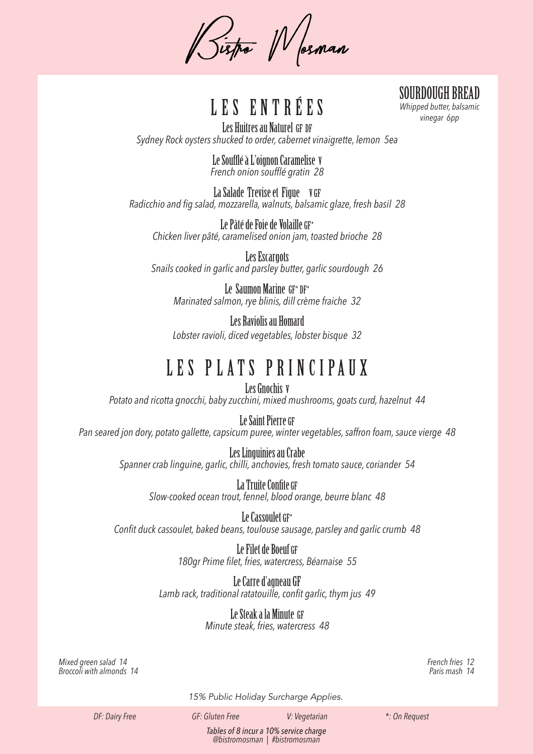Pistro Wosnan

*Vinegar 6pp*<br>*Whipped butter, ba*<br>*vinegar 6pp* 

SOURDOUGH BREAD *Whipped butter, balsamic* 

Les Huitres au Naturel GF DF *Sydney Rock oysters shucked to order, cabernet vinaigrette, lemon 5ea*

> Le Soufflé à L'oignon Caramelise V *French onion soufflé gratin 28*

La Salade Trevise et Figue V GF *Radicchio and fig salad, mozzarella, walnuts, balsamic glaze, fresh basil 28*

Le Pâté de Foie de Volaille GF\* *Chicken liver pâté, caramelised onion jam, toasted brioche 28*

Les Escargots *Snails cooked in garlic and parsley butter, garlic sourdough 26*

Le Saumon Marine GF\* DF\* *Marinated salmon, rye blinis, dill crème fraiche 32*

Les Raviolis au Homard *Lobster ravioli, diced vegetables, lobster bisque 32*

## L E S P L AT S PR I N C I PAU X

Les Gnochis V *Potato and ricotta gnocchi, baby zucchini, mixed mushrooms, goats curd, hazelnut 44*

#### Le Saint Pierre GF

*Pan seared jon dory, potato gallette, capsicum puree, winter vegetables, saffron foam, sauce vierge 48*

Les Linguinies au Crabe *Spanner crab linguine, garlic, chilli, anchovies, fresh tomato sauce, coriander 54*

> La Truite Confite GF *Slow-cooked ocean trout, fennel, blood orange, beurre blanc 48*

Le Cassoulet GF\* *Confit duck cassoulet, baked beans, toulouse sausage, parsley and garlic crumb 48*

> Le Filet de Boeuf GF *180gr Prime filet, fries, watercress, Béarnaise 55*

Le Carre d'agneau GF *Lamb rack, traditional ratatouille, confit garlic, thym jus 49*

> Le Steak a la Minute GF *Minute steak, fries, watercress 48*

*Mixed green salad 14 Broccoli with almonds 14* *French fries 12 Paris mash 14*

*15% Public Holiday Surcharge Applies.*

*DF: Dairy Free GF: Gluten Free V: Vegetarian \*: On Request*

*Tables of 8 incur a 10% service charge @bistromosman | #bistromosman*